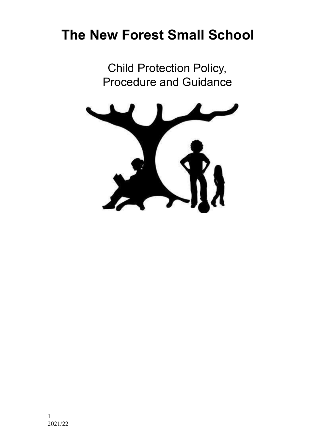# **The New Forest Small School**

Child Protection Policy, Procedure and Guidance

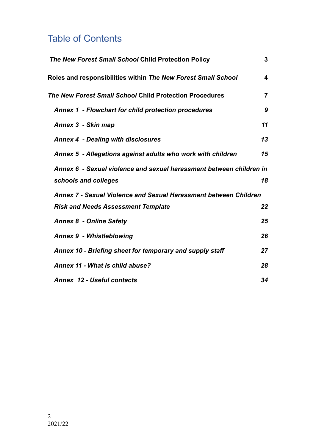# Table of Contents

| The New Forest Small School Child Protection Policy                 | 3              |
|---------------------------------------------------------------------|----------------|
| Roles and responsibilities within The New Forest Small School       | 4              |
| <b>The New Forest Small School Child Protection Procedures</b>      | $\overline{7}$ |
| <b>Annex 1 - Flowchart for child protection procedures</b>          | 9              |
| Annex 3 - Skin map                                                  | 11             |
| <b>Annex 4 - Dealing with disclosures</b>                           | 13             |
| Annex 5 - Allegations against adults who work with children         | 15             |
| Annex 6 - Sexual violence and sexual harassment between children in |                |
| schools and colleges                                                | 18             |
| Annex 7 - Sexual Violence and Sexual Harassment between Children    |                |
| <b>Risk and Needs Assessment Template</b>                           | 22             |
| <b>Annex 8 - Online Safety</b>                                      | 25             |
| Annex 9 - Whistleblowing                                            | 26             |
| Annex 10 - Briefing sheet for temporary and supply staff            | 27             |
| Annex 11 - What is child abuse?                                     | 28             |
| <b>Annex 12 - Useful contacts</b>                                   | 34             |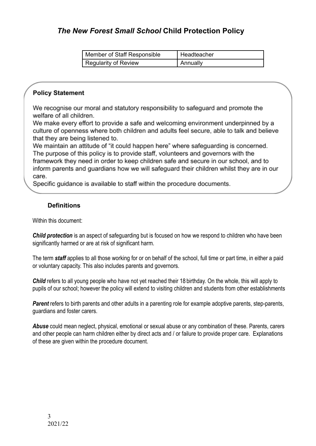# <span id="page-2-0"></span>*The New Forest Small School* **Child Protection Policy**

| Member of Staff Responsible | Headteacher |
|-----------------------------|-------------|
| Regularity of Review        | Annually    |

# **Policy Statement**

We recognise our moral and statutory responsibility to safeguard and promote the welfare of all children.

We make every effort to provide a safe and welcoming environment underpinned by a culture of openness where both children and adults feel secure, able to talk and believe that they are being listened to.

We maintain an attitude of "it could happen here" where safeguarding is concerned. The purpose of this policy is to provide staff, volunteers and governors with the framework they need in order to keep children safe and secure in our school, and to inform parents and guardians how we will safeguard their children whilst they are in our care.

Specific guidance is available to staff within the procedure documents.

# **Definitions**

Within this document:

*Child protection* is an aspect of safeguarding but is focused on how we respond to children who have been significantly harmed or are at risk of significant harm.

The term *staff* applies to all those working for or on behalf of the school, full time or part time, in either a paid or voluntary capacity. This also includes parents and governors.

*Child* refers to all young people who have not yet reached their 18 birthday. On the whole, this will apply to pupils of our school; however the policy will extend to visiting children and students from other establishments

*Parent* refers to birth parents and other adults in a parenting role for example adoptive parents, step-parents, guardians and foster carers.

*Abuse* could mean neglect, physical, emotional or sexual abuse or any combination of these. Parents, carers and other people can harm children either by direct acts and / or failure to provide proper care. Explanations of these are given within the procedure document.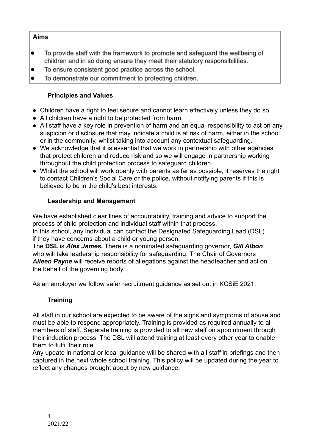# Aims

- To provide staff with the framework to promote and safeguard the wellbeing of  $\bullet$ children and in so doing ensure they meet their statutory responsibilities.
- To ensure consistent good practice across the school.  $\bullet$
- To demonstrate our commitment to protecting children.  $\bullet$

# **Principles and Values**

- Children have a right to feel secure and cannot learn effectively unless they do so.
- All children have a right to be protected from harm.
- All staff have a key role in prevention of harm and an equal responsibility to act on any suspicion or disclosure that may indicate a child is at risk of harm, either in the school or in the community, whilst taking into account any contextual safeguarding.
- We acknowledge that it is essential that we work in partnership with other agencies that protect children and reduce risk and so we will engage in partnership working throughout the child protection process to safeguard children.
- Whilst the school will work openly with parents as far as possible, it reserves the right to contact Children's Social Care or the police, without notifying parents if this is believed to be in the child's best interests.

# **Leadership and Management**

We have established clear lines of accountability, training and advice to support the process of child protection and individual staff within that process.

In this school, any individual can contact the Designated Safeguarding Lead (DSL) if they have concerns about a child or young person.

The **DSL** is *Alex James.* There is a nominated safeguarding governor, *Gill Albon*, who will take leadership responsibility for safeguarding. The Chair of Governors *Aileen Payne* will receive reports of allegations against the headteacher and act on the behalf of the governing body.

As an employer we follow safer recruitment guidance as set out in KCSiE 2021.

# **Training**

All staff in our school are expected to be aware of the signs and symptoms of abuse and must be able to respond appropriately. Training is provided as required annually to all members of staff. Separate training is provided to all new staff on appointment through their induction process. The DSL will attend training at least every other year to enable them to fulfil their role.

Any update in national or local guidance will be shared with all staff in briefings and then captured in the next whole school training. This policy will be updated during the year to reflect any changes brought about by new guidance.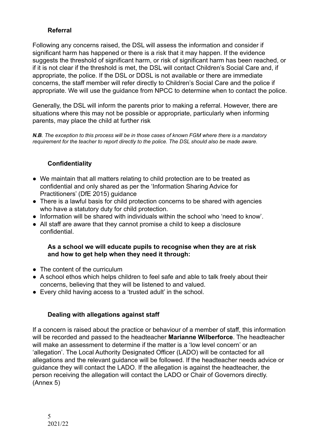# **Referral**

Following any concerns raised, the DSL will assess the information and consider if significant harm has happened or there is a risk that it may happen. If the evidence suggests the threshold of significant harm, or risk of significant harm has been reached, or if it is not clear if the threshold is met, the DSL will contact Children's Social Care and, if appropriate, the police. If the DSL or DDSL is not available or there are immediate concerns, the staff member will refer directly to Children's Social Care and the police if appropriate. We will use the guidance from NPCC to determine when to contact the police.

Generally, the DSL will inform the parents prior to making a referral. However, there are situations where this may not be possible or appropriate, particularly when informing parents, may place the child at further risk

N.B. The exception to this process will be in those cases of known FGM where there is a mandatory *requirement for the teacher to report directly to the police. The DSL should also be made aware.*

# **Confidentiality**

- We maintain that all matters relating to child protection are to be treated as confidential and only shared as per the 'Information Sharing Advice for Practitioners' (DfE 2015) guidance
- There is a lawful basis for child protection concerns to be shared with agencies who have a statutory duty for child protection.
- Information will be shared with individuals within the school who 'need to know'.
- All staff are aware that they cannot promise a child to keep a disclosure confidential.

#### **As a school we will educate pupils to recognise when they are at risk and how to get help when they need it through:**

- The content of the curriculum
- A school ethos which helps children to feel safe and able to talk freely about their concerns, believing that they will be listened to and valued.
- Every child having access to a 'trusted adult' in the school.

## **Dealing with allegations against staff**

If a concern is raised about the practice or behaviour of a member of staff, this information will be recorded and passed to the headteacher **Marianne Wilberforce**. The headteacher will make an assessment to determine if the matter is a 'low level concern' or an 'allegation'. The Local Authority Designated Officer (LADO) will be contacted for all allegations and the relevant guidance will be followed. If the headteacher needs advice or guidance they will contact the LADO. If the allegation is against the headteacher, the person receiving the allegation will contact the LADO or Chair of Governors directly. (Annex 5)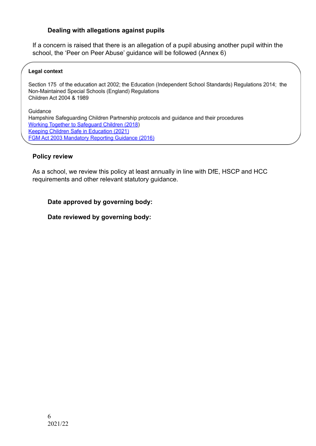# **Dealing with allegations against pupils**

If a concern is raised that there is an allegation of a pupil abusing another pupil within the school, the 'Peer on Peer Abuse' guidance will be followed (Annex 6)

#### **Legal context**

Section 175 of the education act 2002; the Education (Independent School Standards) Regulations 2014; the Non-Maintained Special Schools (England) Regulations Children Act 2004 & 1989

Guidance

Hampshire Safeguarding Children Partnership protocols and guidance and their procedures Working Together to Safeguard Children (2018) Keeping Children Safe in Education (2021) FGM Act 2003 Mandatory Reporting Guidance (2016)

#### **Policy review**

As a school, we review this policy at least annually in line with DfE, HSCP and HCC requirements and other relevant statutory guidance.

# **Date approved by governing body:**

**Date reviewed by governing body:**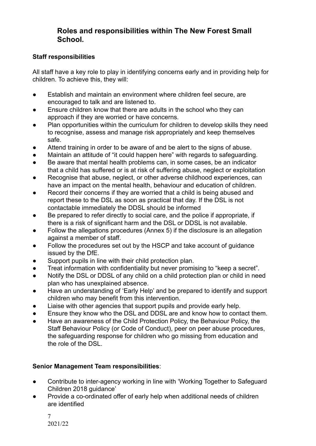# <span id="page-6-0"></span>**Roles and responsibilities within The New Forest Small School.**

## **Staff responsibilities**

All staff have a key role to play in identifying concerns early and in providing help for children. To achieve this, they will:

- Establish and maintain an environment where children feel secure, are encouraged to talk and are listened to.
- Ensure children know that there are adults in the school who they can approach if they are worried or have concerns.
- Plan opportunities within the curriculum for children to develop skills they need to recognise, assess and manage risk appropriately and keep themselves safe.
- Attend training in order to be aware of and be alert to the signs of abuse.
- Maintain an attitude of "it could happen here" with regards to safeguarding.
- Be aware that mental health problems can, in some cases, be an indicator that a child has suffered or is at risk of suffering abuse, neglect or exploitation
- Recognise that abuse, neglect, or other adverse childhood experiences, can have an impact on the mental health, behaviour and education of children.
- Record their concerns if they are worried that a child is being abused and report these to the DSL as soon as practical that day. If the DSL is not contactable immediately the DDSL should be informed
- Be prepared to refer directly to social care, and the police if appropriate, if there is a risk of significant harm and the DSL or DDSL is not available.
- Follow the allegations procedures (Annex 5) if the disclosure is an allegation against a member of staff.
- Follow the procedures set out by the HSCP and take account of guidance issued by the DfE.
- Support pupils in line with their child protection plan.
- Treat information with confidentiality but never promising to "keep a secret".
- Notify the DSL or DDSL of any child on a child protection plan or child in need plan who has unexplained absence.
- Have an understanding of 'Early Help' and be prepared to identify and support children who may benefit from this intervention.
- Liaise with other agencies that support pupils and provide early help.
- Ensure they know who the DSL and DDSL are and know how to contact them.
- Have an awareness of the Child Protection Policy, the Behaviour Policy, the Staff Behaviour Policy (or Code of Conduct), peer on peer abuse procedures, the safeguarding response for children who go missing from education and the role of the DSL.

# **Senior Management Team responsibilities**:

- Contribute to inter-agency working in line with 'Working Together to Safeguard Children 2018 guidance'
- Provide a co-ordinated offer of early help when additional needs of children are identified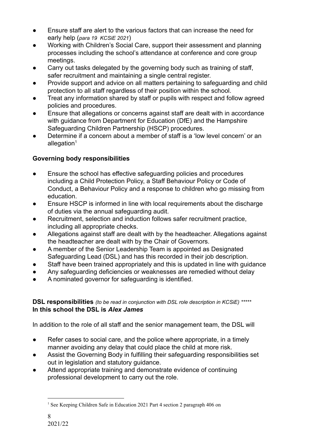- Ensure staff are alert to the various factors that can increase the need for early help (*para 19 KCSiE 2021*)
- Working with Children's Social Care, support their assessment and planning processes including the school's attendance at conference and core group meetings.
- Carry out tasks delegated by the governing body such as training of staff, safer recruitment and maintaining a single central register.
- Provide support and advice on all matters pertaining to safeguarding and child protection to all staff regardless of their position within the school.
- Treat any information shared by staff or pupils with respect and follow agreed policies and procedures.
- Ensure that allegations or concerns against staff are dealt with in accordance with guidance from Department for Education (DfE) and the Hampshire Safeguarding Children Partnership (HSCP) procedures.
- Determine if a concern about a member of staff is a 'low level concern' or an allegation $1$

# **Governing body responsibilities**

- Ensure the school has effective safeguarding policies and procedures including a Child Protection Policy, a Staff Behaviour Policy or Code of Conduct, a Behaviour Policy and a response to children who go missing from education.
- Ensure HSCP is informed in line with local requirements about the discharge of duties via the annual safeguarding audit.
- Recruitment, selection and induction follows safer recruitment practice, including all appropriate checks.
- Allegations against staff are dealt with by the headteacher. Allegations against the headteacher are dealt with by the Chair of Governors.
- A member of the Senior Leadership Team is appointed as Designated Safeguarding Lead (DSL) and has this recorded in their job description.
- Staff have been trained appropriately and this is updated in line with guidance
- Any safeguarding deficiencies or weaknesses are remedied without delay
- A nominated governor for safeguarding is identified.

## **DSL responsibilities** *(to be read in conjunction with DSL role description in KCSiE) \*\*\*\*\** **In this school the DSL is** *Alex James*

In addition to the role of all staff and the senior management team, the DSL will

- Refer cases to social care, and the police where appropriate, in a timely manner avoiding any delay that could place the child at more risk.
- Assist the Governing Body in fulfilling their safeguarding responsibilities set out in legislation and statutory guidance.
- Attend appropriate training and demonstrate evidence of continuing professional development to carry out the role.

<sup>&</sup>lt;sup>1</sup> See Keeping Children Safe in Education 2021 Part 4 section 2 paragraph 406 on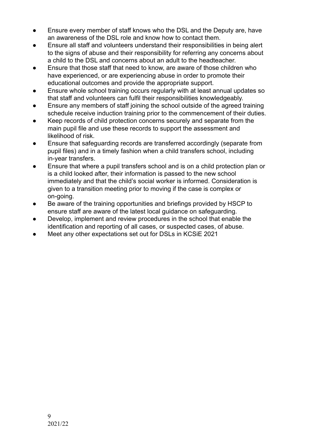- Ensure every member of staff knows who the DSL and the Deputy are, have an awareness of the DSL role and know how to contact them.
- Ensure all staff and volunteers understand their responsibilities in being alert to the signs of abuse and their responsibility for referring any concerns about a child to the DSL and concerns about an adult to the headteacher.
- Ensure that those staff that need to know, are aware of those children who have experienced, or are experiencing abuse in order to promote their educational outcomes and provide the appropriate support.
- Ensure whole school training occurs regularly with at least annual updates so that staff and volunteers can fulfil their responsibilities knowledgeably.
- Ensure any members of staff joining the school outside of the agreed training schedule receive induction training prior to the commencement of their duties.
- Keep records of child protection concerns securely and separate from the main pupil file and use these records to support the assessment and likelihood of risk.
- Ensure that safeguarding records are transferred accordingly (separate from pupil files) and in a timely fashion when a child transfers school, including in-year transfers.
- Ensure that where a pupil transfers school and is on a child protection plan or is a child looked after, their information is passed to the new school immediately and that the child's social worker is informed. Consideration is given to a transition meeting prior to moving if the case is complex or on-going.
- Be aware of the training opportunities and briefings provided by HSCP to ensure staff are aware of the latest local guidance on safeguarding.
- Develop, implement and review procedures in the school that enable the identification and reporting of all cases, or suspected cases, of abuse.
- Meet any other expectations set out for DSLs in KCSiE 2021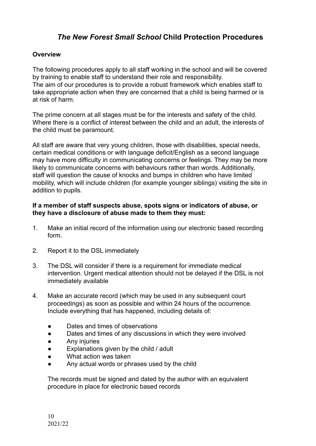# <span id="page-9-0"></span>*The New Forest Small School* **Child Protection Procedures**

## **Overview**

The following procedures apply to all staff working in the school and will be covered by training to enable staff to understand their role and responsibility. The aim of our procedures is to provide a robust framework which enables staff to take appropriate action when they are concerned that a child is being harmed or is at risk of harm.

The prime concern at all stages must be for the interests and safety of the child. Where there is a conflict of interest between the child and an adult, the interests of the child must be paramount.

All staff are aware that very young children, those with disabilities, special needs, certain medical conditions or with language deficit/English as a second language may have more difficulty in communicating concerns or feelings. They may be more likely to communicate concerns with behaviours rather than words. Additionally, staff will question the cause of knocks and bumps in children who have limited mobility, which will include children (for example younger siblings) visiting the site in addition to pupils.

#### **If a member of staff suspects abuse, spots signs or indicators of abuse, or they have a disclosure of abuse made to them they must:**

- 1. Make an initial record of the information using our electronic based recording form.
- 2. Report it to the DSL immediately
- 3. The DSL will consider if there is a requirement for immediate medical intervention. Urgent medical attention should not be delayed if the DSL is not immediately available
- 4. Make an accurate record (which may be used in any subsequent court proceedings) as soon as possible and within 24 hours of the occurrence. Include everything that has happened, including details of:
	- Dates and times of observations
	- Dates and times of any discussions in which they were involved
	- Any injuries
	- Explanations given by the child / adult
	- What action was taken
	- Any actual words or phrases used by the child

The records must be signed and dated by the author with an equivalent procedure in place for electronic based records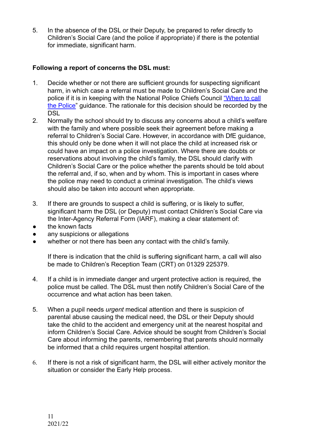5. In the absence of the DSL or their Deputy, be prepared to refer directly to Children's Social Care (and the police if appropriate) if there is the potential for immediate, significant harm.

## **Following a report of concerns the DSL must:**

- 1. Decide whether or not there are sufficient grounds for suspecting significant harm, in which case a referral must be made to Children's Social Care and the police if it is in keeping with the National Police Chiefs Council ["When to call](https://www.npcc.police.uk/documents/Children%20and%20Young%20people/When%20to%20call%20the%20police%20guidance%20for%20schools%20and%20colleges.pdf) [the Police"](https://www.npcc.police.uk/documents/Children%20and%20Young%20people/When%20to%20call%20the%20police%20guidance%20for%20schools%20and%20colleges.pdf) guidance. The rationale for this decision should be recorded by the DSL
- 2. Normally the school should try to discuss any concerns about a child's welfare with the family and where possible seek their agreement before making a referral to Children's Social Care. However, in accordance with DfE guidance, this should only be done when it will not place the child at increased risk or could have an impact on a police investigation. Where there are doubts or reservations about involving the child's family, the DSL should clarify with Children's Social Care or the police whether the parents should be told about the referral and, if so, when and by whom. This is important in cases where the police may need to conduct a criminal investigation. The child's views should also be taken into account when appropriate.
- 3. If there are grounds to suspect a child is suffering, or is likely to suffer, significant harm the DSL (or Deputy) must contact Children's Social Care via the Inter-Agency Referral Form (IARF), making a clear statement of:
- the known facts
- any suspicions or allegations
- whether or not there has been any contact with the child's family.

If there is indication that the child is suffering significant harm, a call will also be made to Children's Reception Team (CRT) on 01329 225379.

- 4. If a child is in immediate danger and urgent protective action is required, the police must be called. The DSL must then notify Children's Social Care of the occurrence and what action has been taken.
- 5. When a pupil needs *urgent* medical attention and there is suspicion of parental abuse causing the medical need, the DSL or their Deputy should take the child to the accident and emergency unit at the nearest hospital and inform Children's Social Care. Advice should be sought from Children's Social Care about informing the parents, remembering that parents should normally be informed that a child requires urgent hospital attention.
- 6. If there is not a risk of significant harm, the DSL will either actively monitor the situation or consider the Early Help process.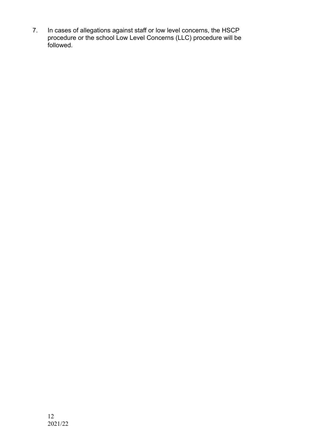7. In cases of allegations against staff or low level concerns, the HSCP procedure or the school Low Level Concerns (LLC) procedure will be followed.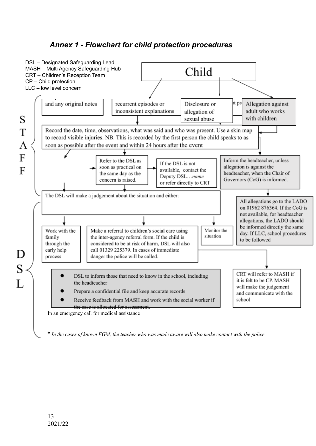# <span id="page-12-0"></span>*Annex 1 - Flowchart for child protection procedures*



\* In the cases of known FGM, the teacher who was made aware will also make contact with the police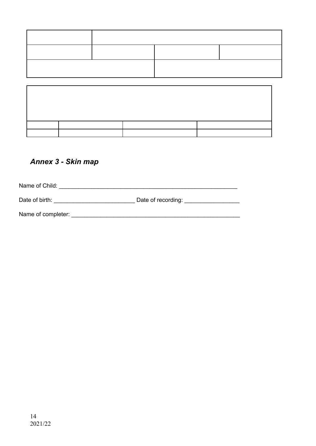# *Annex 3 - Skin map*

Name of Child: \_\_\_\_\_\_\_\_\_\_\_\_\_\_\_\_\_\_\_\_\_\_\_\_\_\_\_\_\_\_\_\_\_\_\_\_\_\_\_\_\_\_\_\_\_\_\_\_\_\_\_\_\_\_\_

Date of birth: \_\_\_\_\_\_\_\_\_\_\_\_\_\_\_\_\_\_\_\_\_\_\_\_\_ Date of recording: \_\_\_\_\_\_\_\_\_\_\_\_\_\_\_\_\_ Name of completer: \_\_\_\_\_\_\_\_\_\_\_\_\_\_\_\_\_\_\_\_\_\_\_\_\_\_\_\_\_\_\_\_\_\_\_\_\_\_\_\_\_\_\_\_\_\_\_\_\_\_\_\_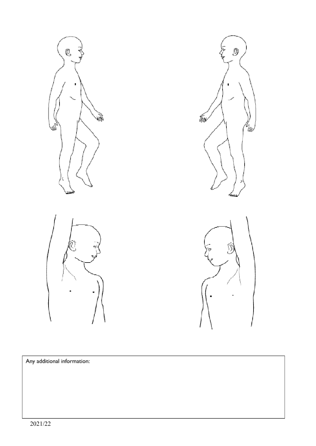







Any additional information:

15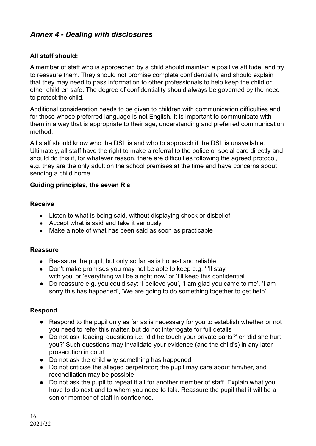# <span id="page-15-0"></span>*Annex 4 - Dealing with disclosures*

## **All staff should:**

A member of staff who is approached by a child should maintain a positive attitude and try to reassure them. They should not promise complete confidentiality and should explain that they may need to pass information to other professionals to help keep the child or other children safe. The degree of confidentiality should always be governed by the need to protect the child.

Additional consideration needs to be given to children with communication difficulties and for those whose preferred language is not English. It is important to communicate with them in a way that is appropriate to their age, understanding and preferred communication method.

All staff should know who the DSL is and who to approach if the DSL is unavailable. Ultimately, all staff have the right to make a referral to the police or social care directly and should do this if, for whatever reason, there are difficulties following the agreed protocol, e.g. they are the only adult on the school premises at the time and have concerns about sending a child home.

## **Guiding principles, the seven R's**

## **Receive**

- Listen to what is being said, without displaying shock or disbelief
- Accept what is said and take it seriously
- Make a note of what has been said as soon as practicable

## **Reassure**

- Reassure the pupil, but only so far as is honest and reliable
- Don't make promises you may not be able to keep e.g. 'I'll stay with you' or 'everything will be alright now' or 'I'll keep this confidential'
- Do reassure e.g. you could say: 'I believe you', 'I am glad you came to me', 'I am sorry this has happened', 'We are going to do something together to get help'

## **Respond**

- Respond to the pupil only as far as is necessary for you to establish whether or not you need to refer this matter, but do not interrogate for full details
- Do not ask 'leading' questions i.e. 'did he touch your private parts?' or 'did she hurt you?' Such questions may invalidate your evidence (and the child's) in any later prosecution in court
- Do not ask the child why something has happened
- Do not criticise the alleged perpetrator; the pupil may care about him/her, and reconciliation may be possible
- Do not ask the pupil to repeat it all for another member of staff. Explain what you have to do next and to whom you need to talk. Reassure the pupil that it will be a senior member of staff in confidence.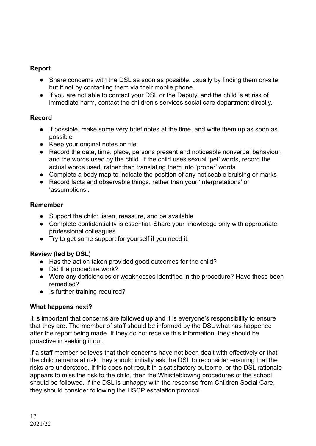# **Report**

- Share concerns with the DSL as soon as possible, usually by finding them on-site but if not by contacting them via their mobile phone.
- If you are not able to contact your DSL or the Deputy, and the child is at risk of immediate harm, contact the children's services social care department directly.

# **Record**

- If possible, make some very brief notes at the time, and write them up as soon as possible
- Keep your original notes on file
- Record the date, time, place, persons present and noticeable nonverbal behaviour, and the words used by the child. If the child uses sexual 'pet' words, record the actual words used, rather than translating them into 'proper' words
- Complete a body map to indicate the position of any noticeable bruising or marks
- Record facts and observable things, rather than your 'interpretations' or 'assumptions'.

## **Remember**

- Support the child: listen, reassure, and be available
- Complete confidentiality is essential. Share your knowledge only with appropriate professional colleagues
- Try to get some support for yourself if you need it.

# **Review (led by DSL)**

- Has the action taken provided good outcomes for the child?
- Did the procedure work?
- Were any deficiencies or weaknesses identified in the procedure? Have these been remedied?
- Is further training required?

## **What happens next?**

It is important that concerns are followed up and it is everyone's responsibility to ensure that they are. The member of staff should be informed by the DSL what has happened after the report being made. If they do not receive this information, they should be proactive in seeking it out.

If a staff member believes that their concerns have not been dealt with effectively or that the child remains at risk, they should initially ask the DSL to reconsider ensuring that the risks are understood. If this does not result in a satisfactory outcome, or the DSL rationale appears to miss the risk to the child, then the Whistleblowing procedures of the school should be followed. If the DSL is unhappy with the response from Children Social Care, they should consider following the HSCP escalation protocol.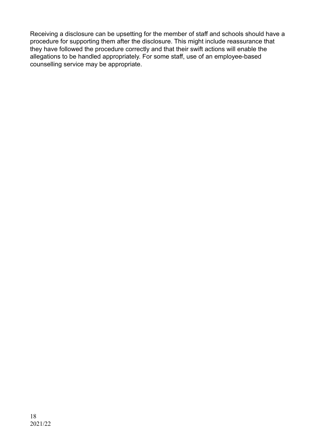Receiving a disclosure can be upsetting for the member of staff and schools should have a procedure for supporting them after the disclosure. This might include reassurance that they have followed the procedure correctly and that their swift actions will enable the allegations to be handled appropriately. For some staff, use of an employee-based counselling service may be appropriate.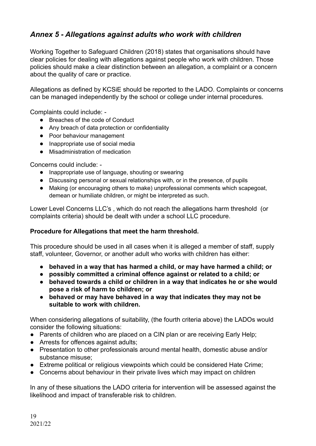# <span id="page-18-0"></span>*Annex 5 - Allegations against adults who work with children*

Working Together to Safeguard Children (2018) states that organisations should have clear policies for dealing with allegations against people who work with children. Those policies should make a clear distinction between an allegation, a complaint or a concern about the quality of care or practice.

Allegations as defined by KCSiE should be reported to the LADO. Complaints or concerns can be managed independently by the school or college under internal procedures.

Complaints could include: -

- **●** Breaches of the code of Conduct
- **●** Any breach of data protection or confidentiality
- **●** Poor behaviour management
- **●** Inappropriate use of social media
- **●** Misadministration of medication

Concerns could include: -

- **●** Inappropriate use of language, shouting or swearing
- **●** Discussing personal or sexual relationships with, or in the presence, of pupils
- **●** Making (or encouraging others to make) unprofessional comments which scapegoat, demean or humiliate children, or might be interpreted as such.

Lower Level Concerns LLC's , which do not reach the allegations harm threshold (or complaints criteria) should be dealt with under a school LLC procedure.

# **Procedure for Allegations that meet the harm threshold.**

This procedure should be used in all cases when it is alleged a member of staff, supply staff, volunteer, Governor, or another adult who works with children has either:

- **● behaved in a way that has harmed a child, or may have harmed a child; or**
- **● possibly committed a criminal offence against or related to a child; or**
- **● behaved towards a child or children in a way that indicates he or she would pose a risk of harm to children; or**
- **● behaved or may have behaved in a way that indicates they may not be suitable to work with children.**

When considering allegations of suitability, (the fourth criteria above) the LADOs would consider the following situations:

- Parents of children who are placed on a CIN plan or are receiving Early Help;
- Arrests for offences against adults;
- Presentation to other professionals around mental health, domestic abuse and/or substance misuse;
- Extreme political or religious viewpoints which could be considered Hate Crime;
- Concerns about behaviour in their private lives which may impact on children

In any of these situations the LADO criteria for intervention will be assessed against the likelihood and impact of transferable risk to children.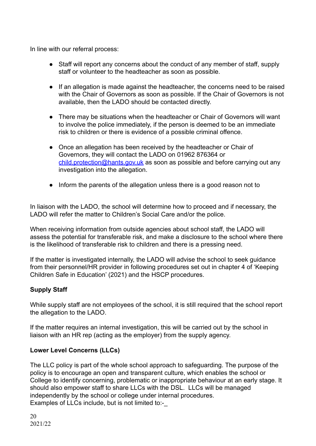In line with our referral process:

- Staff will report any concerns about the conduct of any member of staff, supply staff or volunteer to the headteacher as soon as possible.
- If an allegation is made against the headteacher, the concerns need to be raised with the Chair of Governors as soon as possible. If the Chair of Governors is not available, then the LADO should be contacted directly.
- There may be situations when the headteacher or Chair of Governors will want to involve the police immediately, if the person is deemed to be an immediate risk to children or there is evidence of a possible criminal offence.
- Once an allegation has been received by the headteacher or Chair of Governors, they will contact the LADO on 01962 876364 or [child.protection@hants.gov.uk](mailto:child.protection@hants.gov.uk) as soon as possible and before carrying out any investigation into the allegation.
- Inform the parents of the allegation unless there is a good reason not to

In liaison with the LADO, the school will determine how to proceed and if necessary, the LADO will refer the matter to Children's Social Care and/or the police.

When receiving information from outside agencies about school staff, the LADO will assess the potential for transferable risk, and make a disclosure to the school where there is the likelihood of transferable risk to children and there is a pressing need.

If the matter is investigated internally, the LADO will advise the school to seek guidance from their personnel/HR provider in following procedures set out in chapter 4 of 'Keeping Children Safe in Education' (2021) and the HSCP procedures.

# **Supply Staff**

While supply staff are not employees of the school, it is still required that the school report the allegation to the LADO.

If the matter requires an internal investigation, this will be carried out by the school in liaison with an HR rep (acting as the employer) from the supply agency.

# **Lower Level Concerns (LLCs)**

The LLC policy is part of the whole school approach to safeguarding. The purpose of the policy is to encourage an open and transparent culture, which enables the school or College to identify concerning, problematic or inappropriate behaviour at an early stage. It should also empower staff to share LLCs with the DSL. LLCs will be managed independently by the school or college under internal procedures. Examples of LLCs include, but is not limited to:-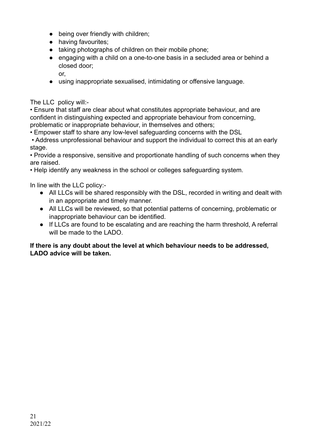- being over friendly with children;
- having favourites;
- taking photographs of children on their mobile phone;
- engaging with a child on a one-to-one basis in a secluded area or behind a closed door;
- or,
- using inappropriate sexualised, intimidating or offensive language.

The LLC policy will:-

• Ensure that staff are clear about what constitutes appropriate behaviour, and are confident in distinguishing expected and appropriate behaviour from concerning, problematic or inappropriate behaviour, in themselves and others;

• Empower staff to share any low-level safeguarding concerns with the DSL

• Address unprofessional behaviour and support the individual to correct this at an early stage.

• Provide a responsive, sensitive and proportionate handling of such concerns when they are raised.

• Help identify any weakness in the school or colleges safeguarding system.

In line with the LLC policy:-

- All LLCs will be shared responsibly with the DSL, recorded in writing and dealt with in an appropriate and timely manner.
- All LLCs will be reviewed, so that potential patterns of concerning, problematic or inappropriate behaviour can be identified.
- If LLCs are found to be escalating and are reaching the harm threshold, A referral will be made to the LADO.

## **If there is any doubt about the level at which behaviour needs to be addressed, LADO advice will be taken.**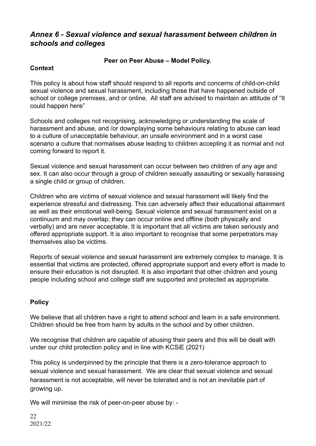# <span id="page-21-0"></span>*Annex 6 - Sexual violence and sexual harassment between children in schools and colleges*

## **Peer on Peer Abuse – Model Policy.**

#### **Context**

This policy is about how staff should respond to all reports and concerns of child-on-child sexual violence and sexual harassment, including those that have happened outside of school or college premises, and or online. All staff are advised to maintain an attitude of "It could happen here"

Schools and colleges not recognising, acknowledging or understanding the scale of harassment and abuse, and /or downplaying some behaviours relating to abuse can lead to a culture of unacceptable behaviour, an unsafe environment and in a worst case scenario a culture that normalises abuse leading to children accepting it as normal and not coming forward to report it.

Sexual violence and sexual harassment can occur between two children of any age and sex. It can also occur through a group of children sexually assaulting or sexually harassing a single child or group of children.

Children who are victims of sexual violence and sexual harassment will likely find the experience stressful and distressing. This can adversely affect their educational attainment as well as their emotional well-being. Sexual violence and sexual harassment exist on a continuum and may overlap; they can occur online and offline (both physically and verbally) and are never acceptable. It is important that all victims are taken seriously and offered appropriate support. It is also important to recognise that some perpetrators may themselves also be victims.

Reports of sexual violence and sexual harassment are extremely complex to manage. It is essential that victims are protected, offered appropriate support and every effort is made to ensure their education is not disrupted. It is also important that other children and young people including school and college staff are supported and protected as appropriate.

## **Policy**

We believe that all children have a right to attend school and learn in a safe environment. Children should be free from harm by adults in the school and by other children.

We recognise that children are capable of abusing their peers and this will be dealt with under our child protection policy and in line with KCSiE (2021)

This policy is underpinned by the principle that there is a zero-tolerance approach to sexual violence and sexual harassment. We are clear that sexual violence and sexual harassment is not acceptable, will never be tolerated and is not an inevitable part of growing up.

We will minimise the risk of peer-on-peer abuse by: -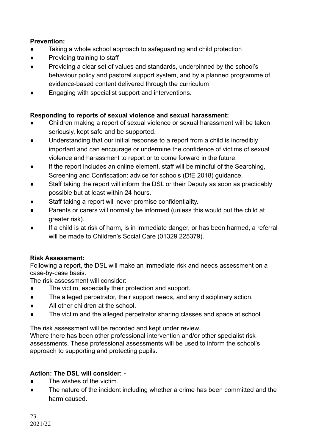# **Prevention:**

- Taking a whole school approach to safeguarding and child protection
- Providing training to staff
- Providing a clear set of values and standards, underpinned by the school's behaviour policy and pastoral support system, and by a planned programme of evidence-based content delivered through the curriculum
- Engaging with specialist support and interventions.

# **Responding to reports of sexual violence and sexual harassment:**

- Children making a report of sexual violence or sexual harassment will be taken seriously, kept safe and be supported.
- Understanding that our initial response to a report from a child is incredibly important and can encourage or undermine the confidence of victims of sexual violence and harassment to report or to come forward in the future.
- If the report includes an online element, staff will be mindful of the Searching, Screening and Confiscation: advice for schools (DfE 2018) guidance.
- Staff taking the report will inform the DSL or their Deputy as soon as practicably possible but at least within 24 hours.
- Staff taking a report will never promise confidentiality.
- Parents or carers will normally be informed (unless this would put the child at greater risk).
- If a child is at risk of harm, is in immediate danger, or has been harmed, a referral will be made to Children's Social Care (01329 225379).

# **Risk Assessment:**

Following a report, the DSL will make an immediate risk and needs assessment on a case-by-case basis.

The risk assessment will consider:

- The victim, especially their protection and support.
- The alleged perpetrator, their support needs, and any disciplinary action.
- All other children at the school.
- The victim and the alleged perpetrator sharing classes and space at school.

The risk assessment will be recorded and kept under review.

Where there has been other professional intervention and/or other specialist risk assessments. These professional assessments will be used to inform the school's approach to supporting and protecting pupils.

# **Action: The DSL will consider: -**

- The wishes of the victim.
- The nature of the incident including whether a crime has been committed and the harm caused.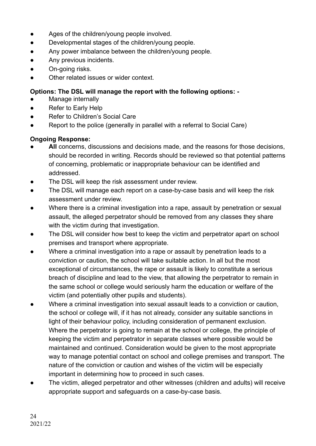- Ages of the children/young people involved.
- Developmental stages of the children/young people.
- Any power imbalance between the children/young people.
- **•** Any previous incidents.
- On-going risks.
- Other related issues or wider context.

# **Options: The DSL will manage the report with the following options: -**

- Manage internally
- Refer to Early Help
- Refer to Children's Social Care
- Report to the police (generally in parallel with a referral to Social Care)

# **Ongoing Response:**

- All concerns, discussions and decisions made, and the reasons for those decisions, should be recorded in writing. Records should be reviewed so that potential patterns of concerning, problematic or inappropriate behaviour can be identified and addressed.
- The DSL will keep the risk assessment under review.
- The DSL will manage each report on a case-by-case basis and will keep the risk assessment under review.
- Where there is a criminal investigation into a rape, assault by penetration or sexual assault, the alleged perpetrator should be removed from any classes they share with the victim during that investigation.
- The DSL will consider how best to keep the victim and perpetrator apart on school premises and transport where appropriate.
- Where a criminal investigation into a rape or assault by penetration leads to a conviction or caution, the school will take suitable action. In all but the most exceptional of circumstances, the rape or assault is likely to constitute a serious breach of discipline and lead to the view, that allowing the perpetrator to remain in the same school or college would seriously harm the education or welfare of the victim (and potentially other pupils and students).
- Where a criminal investigation into sexual assault leads to a conviction or caution, the school or college will, if it has not already, consider any suitable sanctions in light of their behaviour policy, including consideration of permanent exclusion. Where the perpetrator is going to remain at the school or college, the principle of keeping the victim and perpetrator in separate classes where possible would be maintained and continued. Consideration would be given to the most appropriate way to manage potential contact on school and college premises and transport. The nature of the conviction or caution and wishes of the victim will be especially important in determining how to proceed in such cases.
- The victim, alleged perpetrator and other witnesses (children and adults) will receive appropriate support and safeguards on a case-by-case basis.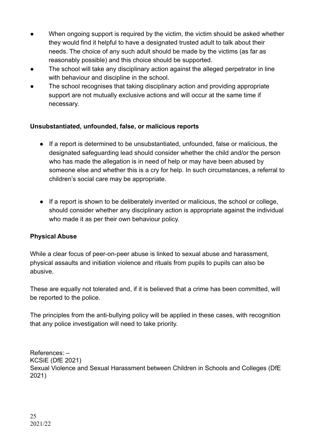- When ongoing support is required by the victim, the victim should be asked whether they would find it helpful to have a designated trusted adult to talk about their needs. The choice of any such adult should be made by the victims (as far as reasonably possible) and this choice should be supported.
- The school will take any disciplinary action against the alleged perpetrator in line with behaviour and discipline in the school.
- The school recognises that taking disciplinary action and providing appropriate support are not mutually exclusive actions and will occur at the same time if necessary.

# **Unsubstantiated, unfounded, false, or malicious reports**

- If a report is determined to be unsubstantiated, unfounded, false or malicious, the designated safeguarding lead should consider whether the child and/or the person who has made the allegation is in need of help or may have been abused by someone else and whether this is a cry for help. In such circumstances, a referral to children's social care may be appropriate.
- If a report is shown to be deliberately invented or malicious, the school or college, should consider whether any disciplinary action is appropriate against the individual who made it as per their own behaviour policy.

# **Physical Abuse**

While a clear focus of peer-on-peer abuse is linked to sexual abuse and harassment, physical assaults and initiation violence and rituals from pupils to pupils can also be abusive.

These are equally not tolerated and, if it is believed that a crime has been committed, will be reported to the police.

The principles from the anti-bullying policy will be applied in these cases, with recognition that any police investigation will need to take priority.

References: – KCSiE (DfE 2021) Sexual Violence and Sexual Harassment between Children in Schools and Colleges (DfE 2021)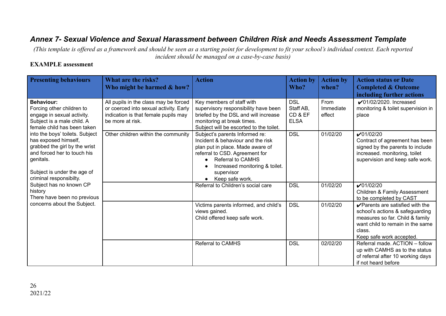# *Annex 7- Sexual Violence and Sexual Harassment between Children Risk and Needs Assessment Template*

*(This template is offered as a framework and should be seen as a starting point for development to fit your school's individual context. Each reported incident should be managed on a case-by-case basis)*

## **EXAMPLE assessment**

<span id="page-25-0"></span>

| <b>Presenting behaviours</b>                                                                                                                                                                   | What are the risks?<br>Who might be harmed & how?                                                                                           | <b>Action</b>                                                                                                                                                                                                                            | <b>Action by</b><br>Who?                          | <b>Action by</b><br>when?   | <b>Action status or Date</b><br><b>Completed &amp; Outcome</b><br>including further actions                                                                                                         |
|------------------------------------------------------------------------------------------------------------------------------------------------------------------------------------------------|---------------------------------------------------------------------------------------------------------------------------------------------|------------------------------------------------------------------------------------------------------------------------------------------------------------------------------------------------------------------------------------------|---------------------------------------------------|-----------------------------|-----------------------------------------------------------------------------------------------------------------------------------------------------------------------------------------------------|
| Behaviour:<br>Forcing other children to<br>engage in sexual activity.<br>Subject is a male child. A<br>female child has been taken                                                             | All pupils in the class may be forced<br>or coerced into sexual activity. Early<br>indication is that female pupils may<br>be more at risk. | Key members of staff with<br>supervisory responsibility have been<br>briefed by the DSL and will increase<br>monitoring at break times.<br>Subject will be escorted to the toilet.                                                       | <b>DSL</b><br>Staff AB,<br>CD & EF<br><b>ELSA</b> | From<br>Immediate<br>effect | ✔01/02/2020. Increased<br>monitoring & toilet supervision in<br>place                                                                                                                               |
| into the boys' toilets. Subject<br>has exposed himself,<br>grabbed the girl by the wrist<br>and forced her to touch his<br>genitals.<br>Subject is under the age of<br>criminal responsibilty. | Other children within the community                                                                                                         | Subject's parents Informed re:<br>Incident & behaviour and the risk<br>plan put in place. Made aware of<br>referral to CSD. Agreement for<br><b>Referral to CAMHS</b><br>Increased monitoring & toilet.<br>supervisor<br>Keep safe work. | <b>DSL</b>                                        | 01/02/20                    | V01/02/20<br>Contract of agreement has been<br>signed by the parents to include<br>increased. monitoring, toilet<br>supervision and keep safe work.                                                 |
| Subject has no known CP<br>history<br>There have been no previous                                                                                                                              |                                                                                                                                             | Referral to Children's social care                                                                                                                                                                                                       | <b>DSL</b>                                        | 01/02/20                    | V01/02/20<br><b>Children &amp; Family Assessment</b><br>to be completed by CAST                                                                                                                     |
| concerns about the Subject.                                                                                                                                                                    |                                                                                                                                             | Victims parents informed, and child's<br>views gained.<br>Child offered keep safe work.                                                                                                                                                  | <b>DSL</b>                                        | 01/02/20                    | $\sqrt{\frac{1}{1}}$ Parents are satisfied with the<br>school's actions & safeguarding<br>measures so far. Child & family<br>want child to remain in the same<br>class.<br>Keep safe work accepted. |
|                                                                                                                                                                                                |                                                                                                                                             | <b>Referral to CAMHS</b>                                                                                                                                                                                                                 | <b>DSL</b>                                        | 02/02/20                    | Referral made. ACTION - follow<br>up with CAMHS as to the status<br>of referral after 10 working days<br>if not heard before                                                                        |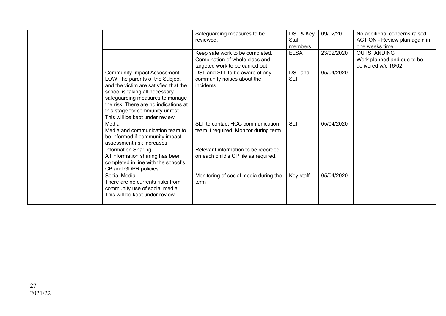|                                                                                                                                                                                                                                                                                                    | Safeguarding measures to be<br>reviewed.                                                             | DSL & Key<br>Staff<br>members | 09/02/20   | No additional concerns raised.<br>ACTION - Review plan again in<br>one weeks time |
|----------------------------------------------------------------------------------------------------------------------------------------------------------------------------------------------------------------------------------------------------------------------------------------------------|------------------------------------------------------------------------------------------------------|-------------------------------|------------|-----------------------------------------------------------------------------------|
|                                                                                                                                                                                                                                                                                                    | Keep safe work to be completed.<br>Combination of whole class and<br>targeted work to be carried out | <b>ELSA</b>                   | 23/02/2020 | <b>OUTSTANDING</b><br>Work planned and due to be<br>delivered w/c 16/02           |
| <b>Community Impact Assessment</b><br>LOW The parents of the Subject<br>and the victim are satisfied that the<br>school is taking all necessary<br>safeguarding measures to manage<br>the risk. There are no indications at<br>this stage for community unrest.<br>This will be kept under review. | DSL and SLT to be aware of any<br>community noises about the<br>incidents.                           | DSL and<br><b>SLT</b>         | 05/04/2020 |                                                                                   |
| Media<br>Media and communication team to<br>be informed if community impact<br>assessment risk increases                                                                                                                                                                                           | SLT to contact HCC communication<br>team if required. Monitor during term                            | <b>SLT</b>                    | 05/04/2020 |                                                                                   |
| Information Sharing.<br>All information sharing has been<br>completed in line with the school's<br>CP and GDPR policies.                                                                                                                                                                           | Relevant information to be recorded<br>on each child's CP file as required.                          |                               |            |                                                                                   |
| Social Media<br>There are no currents risks from<br>community use of social media.<br>This will be kept under review.                                                                                                                                                                              | Monitoring of social media during the<br>term                                                        | Key staff                     | 05/04/2020 |                                                                                   |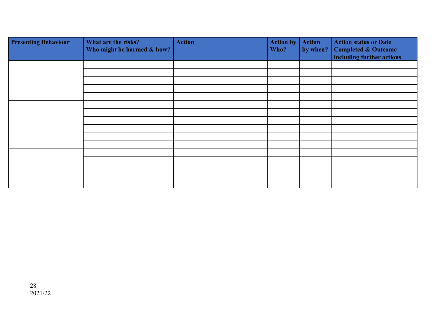| <b>Presenting Behaviour</b> | What are the risks?<br>Who might be harmed & how? | <b>Action</b> | <b>Action by</b><br>Who? | <b>Action</b><br>by when? $\vert$ | <b>Action status or Date</b><br><b>Completed &amp; Outcome</b><br>including further actions |
|-----------------------------|---------------------------------------------------|---------------|--------------------------|-----------------------------------|---------------------------------------------------------------------------------------------|
|                             |                                                   |               |                          |                                   |                                                                                             |
|                             |                                                   |               |                          |                                   |                                                                                             |
|                             |                                                   |               |                          |                                   |                                                                                             |
|                             |                                                   |               |                          |                                   |                                                                                             |
|                             |                                                   |               |                          |                                   |                                                                                             |
|                             |                                                   |               |                          |                                   |                                                                                             |
|                             |                                                   |               |                          |                                   |                                                                                             |
|                             |                                                   |               |                          |                                   |                                                                                             |
|                             |                                                   |               |                          |                                   |                                                                                             |
|                             |                                                   |               |                          |                                   |                                                                                             |
|                             |                                                   |               |                          |                                   |                                                                                             |
|                             |                                                   |               |                          |                                   |                                                                                             |
|                             |                                                   |               |                          |                                   |                                                                                             |
|                             |                                                   |               |                          |                                   |                                                                                             |
|                             |                                                   |               |                          |                                   |                                                                                             |
|                             |                                                   |               |                          |                                   |                                                                                             |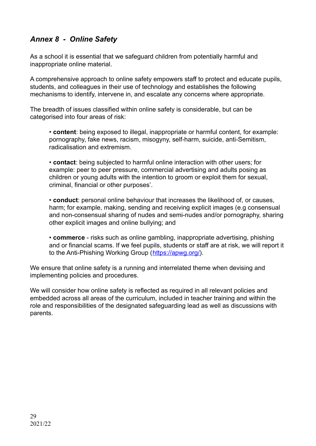# <span id="page-28-0"></span>*Annex 8 - Online Safety*

As a school it is essential that we safeguard children from potentially harmful and inappropriate online material.

A comprehensive approach to online safety empowers staff to protect and educate pupils, students, and colleagues in their use of technology and establishes the following mechanisms to identify, intervene in, and escalate any concerns where appropriate.

The breadth of issues classified within online safety is considerable, but can be categorised into four areas of risk:

• **content**: being exposed to illegal, inappropriate or harmful content, for example: pornography, fake news, racism, misogyny, self-harm, suicide, anti-Semitism, radicalisation and extremism.

• **contact**: being subjected to harmful online interaction with other users; for example: peer to peer pressure, commercial advertising and adults posing as children or young adults with the intention to groom or exploit them for sexual, criminal, financial or other purposes'.

• **conduct**: personal online behaviour that increases the likelihood of, or causes, harm; for example, making, sending and receiving explicit images (e.g consensual and non-consensual sharing of nudes and semi-nudes and/or pornography, sharing other explicit images and online bullying; and

• **commerce** - risks such as online gambling, inappropriate advertising, phishing and or financial scams. If we feel pupils, students or staff are at risk, we will report it to the Anti-Phishing Working Group ([https://apwg.org/\)](https://apwg.org/).

We ensure that online safety is a running and interrelated theme when devising and implementing policies and procedures.

We will consider how online safety is reflected as required in all relevant policies and embedded across all areas of the curriculum, included in teacher training and within the role and responsibilities of the designated safeguarding lead as well as discussions with parents.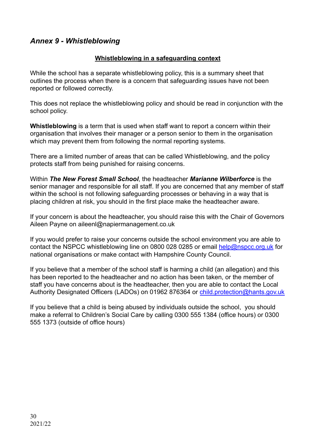# <span id="page-29-0"></span>*Annex 9 - Whistleblowing*

#### **Whistleblowing in a safeguarding context**

While the school has a separate whistleblowing policy, this is a summary sheet that outlines the process when there is a concern that safeguarding issues have not been reported or followed correctly.

This does not replace the whistleblowing policy and should be read in conjunction with the school policy.

**Whistleblowing** is a term that is used when staff want to report a concern within their organisation that involves their manager or a person senior to them in the organisation which may prevent them from following the normal reporting systems.

There are a limited number of areas that can be called Whistleblowing, and the policy protects staff from being punished for raising concerns.

Within *The New Forest Small School*, the headteacher *Marianne Wilberforce* is the senior manager and responsible for all staff. If you are concerned that any member of staff within the school is not following safeguarding processes or behaving in a way that is placing children at risk, you should in the first place make the headteacher aware.

If your concern is about the headteacher, you should raise this with the Chair of Governors Aileen Payne on aileenl@napiermanagement.co.uk

If you would prefer to raise your concerns outside the school environment you are able to contact the NSPCC whistleblowing line on 0800 028 0285 or email [help@nspcc.org.uk](mailto:help@nspcc.org.uk) for national organisations or make contact with Hampshire County Council.

If you believe that a member of the school staff is harming a child (an allegation) and this has been reported to the headteacher and no action has been taken, or the member of staff you have concerns about is the headteacher, then you are able to contact the Local Authority Designated Officers (LADOs) on 01962 876364 or [child.protection@hants.gov.uk](mailto:child.protection@hants.gov.uk)

If you believe that a child is being abused by individuals outside the school, you should make a referral to Children's Social Care by calling 0300 555 1384 (office hours) or 0300 555 1373 (outside of office hours)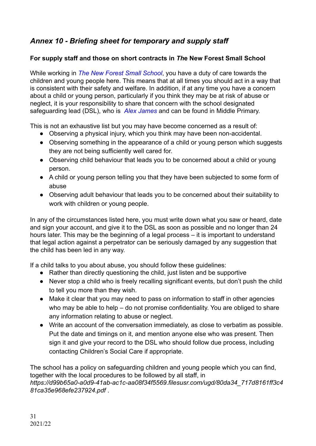# <span id="page-30-0"></span>*Annex 10 - Briefing sheet for temporary and supply staff*

## **For supply staff and those on short contracts in** *Th***e New Forest Small School**

While working in *The New Forest Small School*, you have a duty of care towards the children and young people here. This means that at all times you should act in a way that is consistent with their safety and welfare. In addition, if at any time you have a concern about a child or young person, particularly if you think they may be at risk of abuse or neglect, it is your responsibility to share that concern with the school designated safeguarding lead (DSL), who is *Alex James* and can be found in Middle Primary.

This is not an exhaustive list but you may have become concerned as a result of:

- Observing a physical injury, which you think may have been non-accidental.
- Observing something in the appearance of a child or young person which suggests they are not being sufficiently well cared for.
- Observing child behaviour that leads you to be concerned about a child or young person.
- A child or young person telling you that they have been subjected to some form of abuse
- Observing adult behaviour that leads you to be concerned about their suitability to work with children or young people.

In any of the circumstances listed here, you must write down what you saw or heard, date and sign your account, and give it to the DSL as soon as possible and no longer than 24 hours later. This may be the beginning of a legal process – it is important to understand that legal action against a perpetrator can be seriously damaged by any suggestion that the child has been led in any way.

If a child talks to you about abuse, you should follow these guidelines:

- Rather than directly questioning the child, just listen and be supportive
- Never stop a child who is freely recalling significant events, but don't push the child to tell you more than they wish.
- Make it clear that you may need to pass on information to staff in other agencies who may be able to help – do not promise confidentiality. You are obliged to share any information relating to abuse or neglect.
- Write an account of the conversation immediately, as close to verbatim as possible. Put the date and timings on it, and mention anyone else who was present. Then sign it and give your record to the DSL who should follow due process, including contacting Children's Social Care if appropriate.

The school has a policy on safeguarding children and young people which you can find, together with the local procedures to be followed by all staff, in *https://d99b65a0-a0d9-41ab-ac1c-aa08f34f5569.filesusr.com/ugd/80da34\_717d8161ff3c4 81ca35e968efe237924.pdf* .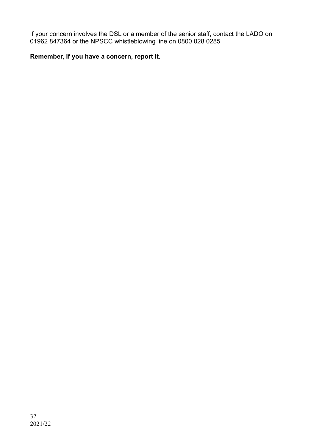If your concern involves the DSL or a member of the senior staff, contact the LADO on 01962 847364 or the NPSCC whistleblowing line on 0800 028 0285

# **Remember, if you have a concern, report it.**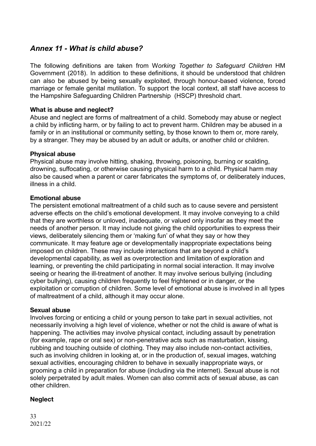# <span id="page-32-0"></span>*Annex 11 - What is child abuse?*

The following definitions are taken from W*orking Together to Safeguard Children* HM Government (2018). In addition to these definitions, it should be understood that children can also be abused by being sexually exploited, through honour-based violence, forced marriage or female genital mutilation. To support the local context, all staff have access to the Hampshire Safeguarding Children Partnership (HSCP) threshold chart.

#### **What is abuse and neglect?**

Abuse and neglect are forms of maltreatment of a child. Somebody may abuse or neglect a child by inflicting harm, or by failing to act to prevent harm. Children may be abused in a family or in an institutional or community setting, by those known to them or, more rarely, by a stranger. They may be abused by an adult or adults, or another child or children.

#### **Physical abuse**

Physical abuse may involve hitting, shaking, throwing, poisoning, burning or scalding, drowning, suffocating, or otherwise causing physical harm to a child. Physical harm may also be caused when a parent or carer fabricates the symptoms of, or deliberately induces, illness in a child.

#### **Emotional abuse**

The persistent emotional maltreatment of a child such as to cause severe and persistent adverse effects on the child's emotional development. It may involve conveying to a child that they are worthless or unloved, inadequate, or valued only insofar as they meet the needs of another person. It may include not giving the child opportunities to express their views, deliberately silencing them or 'making fun' of what they say or how they communicate. It may feature age or developmentally inappropriate expectations being imposed on children. These may include interactions that are beyond a child's developmental capability, as well as overprotection and limitation of exploration and learning, or preventing the child participating in normal social interaction. It may involve seeing or hearing the ill-treatment of another. It may involve serious bullying (including cyber bullying), causing children frequently to feel frightened or in danger, or the exploitation or corruption of children. Some level of emotional abuse is involved in all types of maltreatment of a child, although it may occur alone.

#### **Sexual abuse**

Involves forcing or enticing a child or young person to take part in sexual activities, not necessarily involving a high level of violence, whether or not the child is aware of what is happening. The activities may involve physical contact, including assault by penetration (for example, rape or oral sex) or non-penetrative acts such as masturbation, kissing, rubbing and touching outside of clothing. They may also include non-contact activities, such as involving children in looking at, or in the production of, sexual images, watching sexual activities, encouraging children to behave in sexually inappropriate ways, or grooming a child in preparation for abuse (including via the internet). Sexual abuse is not solely perpetrated by adult males. Women can also commit acts of sexual abuse, as can other children.

## **Neglect**

33 2021/22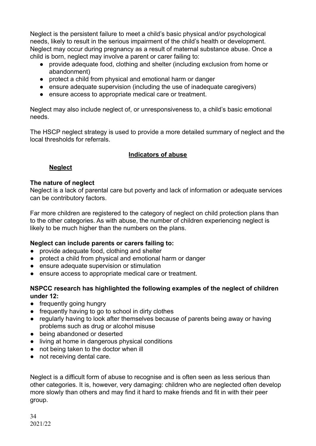Neglect is the persistent failure to meet a child's basic physical and/or psychological needs, likely to result in the serious impairment of the child's health or development. Neglect may occur during pregnancy as a result of maternal substance abuse. Once a child is born, neglect may involve a parent or carer failing to:

- provide adequate food, clothing and shelter (including exclusion from home or abandonment)
- protect a child from physical and emotional harm or danger
- ensure adequate supervision (including the use of inadequate caregivers)
- ensure access to appropriate medical care or treatment.

Neglect may also include neglect of, or unresponsiveness to, a child's basic emotional needs.

The HSCP neglect strategy is used to provide a more detailed summary of neglect and the local thresholds for referrals.

# **Indicators of abuse**

# **Neglect**

## **The nature of neglect**

Neglect is a lack of parental care but poverty and lack of information or adequate services can be contributory factors.

Far more children are registered to the category of neglect on child protection plans than to the other categories. As with abuse, the number of children experiencing neglect is likely to be much higher than the numbers on the plans.

# **Neglect can include parents or carers failing to:**

- provide adequate food, clothing and shelter
- protect a child from physical and emotional harm or danger
- ensure adequate supervision or stimulation
- ensure access to appropriate medical care or treatment.

## **NSPCC research has highlighted the following examples of the neglect of children under 12:**

- frequently going hungry
- frequently having to go to school in dirty clothes
- regularly having to look after themselves because of parents being away or having problems such as drug or alcohol misuse
- being abandoned or deserted
- living at home in dangerous physical conditions
- not being taken to the doctor when ill
- not receiving dental care.

Neglect is a difficult form of abuse to recognise and is often seen as less serious than other categories. It is, however, very damaging: children who are neglected often develop more slowly than others and may find it hard to make friends and fit in with their peer group.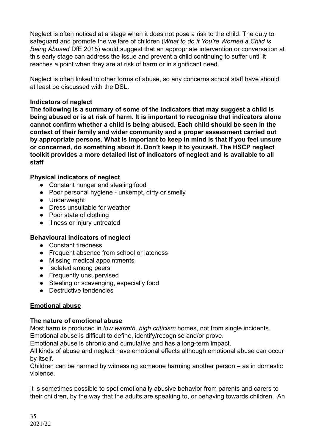Neglect is often noticed at a stage when it does not pose a risk to the child. The duty to safeguard and promote the welfare of children (*What to do if You're Worried a Child is Being Abused* DfE 2015) would suggest that an appropriate intervention or conversation at this early stage can address the issue and prevent a child continuing to suffer until it reaches a point when they are at risk of harm or in significant need.

Neglect is often linked to other forms of abuse, so any concerns school staff have should at least be discussed with the DSL.

#### **Indicators of neglect**

**The following is a summary of some of the indicators that may suggest a child is being abused or is at risk of harm. It is important to recognise that indicators alone cannot confirm whether a child is being abused. Each child should be seen in the context of their family and wider community and a proper assessment carried out by appropriate persons. What is important to keep in mind is that if you feel unsure or concerned, do something about it. Don't keep it to yourself. The HSCP neglect toolkit provides a more detailed list of indicators of neglect and is available to all staff**

#### **Physical indicators of neglect**

- Constant hunger and stealing food
- Poor personal hygiene unkempt, dirty or smelly
- Underweight
- Dress unsuitable for weather
- Poor state of clothing
- Illness or injury untreated

## **Behavioural indicators of neglect**

- Constant tiredness
- Frequent absence from school or lateness
- Missing medical appointments
- Isolated among peers
- Frequently unsupervised
- Stealing or scavenging, especially food
- Destructive tendencies

## **Emotional abuse**

#### **The nature of emotional abuse**

Most harm is produced in *low warmth, high criticism* homes, not from single incidents. Emotional abuse is difficult to define, identify/recognise and/or prove.

Emotional abuse is chronic and cumulative and has a long-term impact.

All kinds of abuse and neglect have emotional effects although emotional abuse can occur by itself.

Children can be harmed by witnessing someone harming another person – as in domestic violence.

It is sometimes possible to spot emotionally abusive behavior from parents and carers to their children, by the way that the adults are speaking to, or behaving towards children. An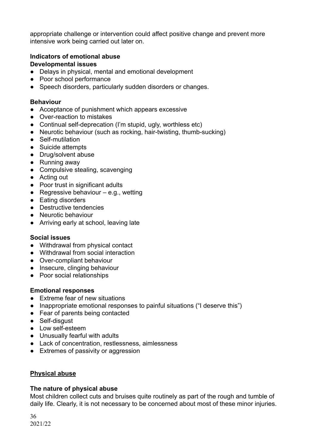appropriate challenge or intervention could affect positive change and prevent more intensive work being carried out later on.

#### **Indicators of emotional abuse Developmental issues**

- Delays in physical, mental and emotional development
- Poor school performance
- Speech disorders, particularly sudden disorders or changes.

#### **Behaviour**

- Acceptance of punishment which appears excessive
- Over-reaction to mistakes
- Continual self-deprecation (I'm stupid, ugly, worthless etc)
- Neurotic behaviour (such as rocking, hair-twisting, thumb-sucking)
- Self-mutilation
- Suicide attempts
- Drug/solvent abuse
- Running away
- Compulsive stealing, scavenging
- Acting out
- Poor trust in significant adults
- Regressive behaviour  $-$  e.g., wetting
- Eating disorders
- Destructive tendencies
- Neurotic behaviour
- Arriving early at school, leaving late

#### **Social issues**

- Withdrawal from physical contact
- Withdrawal from social interaction
- Over-compliant behaviour
- Insecure, clinging behaviour
- Poor social relationships

#### **Emotional responses**

- Extreme fear of new situations
- Inappropriate emotional responses to painful situations ("I deserve this")
- Fear of parents being contacted
- Self-disgust
- Low self-esteem
- Unusually fearful with adults
- Lack of concentration, restlessness, aimlessness
- Extremes of passivity or aggression

#### **Physical abuse**

#### **The nature of physical abuse**

Most children collect cuts and bruises quite routinely as part of the rough and tumble of daily life. Clearly, it is not necessary to be concerned about most of these minor injuries.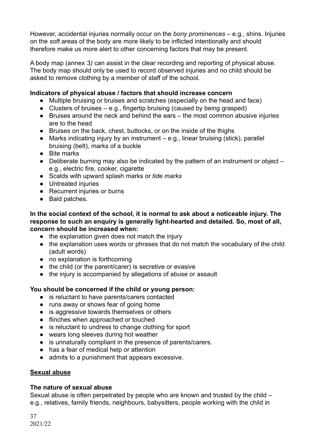However, accidental injuries normally occur on the *bony prominences* – e.g., shins. Injuries on the *soft* areas of the body are more likely to be inflicted intentionally and should therefore make us more alert to other concerning factors that may be present.

A body map (annex 3*)* can assist in the clear recording and reporting of physical abuse. The body map should only be used to record observed injuries and no child should be asked to remove clothing by a member of staff of the school.

# **Indicators of physical abuse / factors that should increase concern**

- Multiple bruising or bruises and scratches (especially on the head and face)
- Clusters of bruises  $-$  e.g., fingertip bruising (caused by being grasped)
- Bruises around the neck and behind the ears the most common abusive injuries are to the head
- Bruises on the back, chest, buttocks, or on the inside of the thighs
- Marks indicating injury by an instrument e.g., linear bruising (stick), parallel bruising (belt), marks of a buckle
- Bite marks
- Deliberate burning may also be indicated by the pattern of an instrument or object e.g., electric fire, cooker, cigarette
- Scalds with upward splash marks or *tide marks*
- Untreated injuries
- Recurrent injuries or burns
- Bald patches.

**In the social context of the school, it is normal to ask about a noticeable injury. The response to such an enquiry is generally light-hearted and detailed. So, most of all, concern should be increased when:**

- the explanation given does not match the injury
- the explanation uses words or phrases that do not match the vocabulary of the child (adult words)
- no explanation is forthcoming
- the child (or the parent/carer) is secretive or evasive
- the injury is accompanied by allegations of abuse or assault

## **You should be concerned if the child or young person:**

- is reluctant to have parents/carers contacted
- runs away or shows fear of going home
- is aggressive towards themselves or others
- flinches when approached or touched
- is reluctant to undress to change clothing for sport
- wears long sleeves during hot weather
- is unnaturally compliant in the presence of parents/carers.
- has a fear of medical help or attention
- admits to a punishment that appears excessive.

## **Sexual abuse**

## **The nature of sexual abuse**

Sexual abuse is often perpetrated by people who are known and trusted by the child – e.g., relatives, family friends, neighbours, babysitters, people working with the child in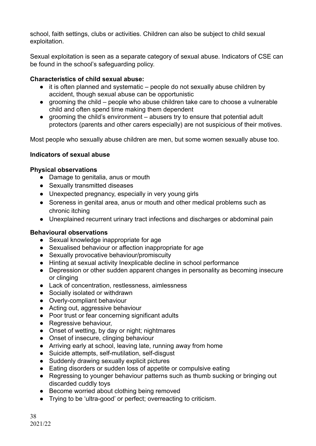school, faith settings, clubs or activities. Children can also be subject to child sexual exploitation.

Sexual exploitation is seen as a separate category of sexual abuse. Indicators of CSE can be found in the school's safeguarding policy.

# **Characteristics of child sexual abuse:**

- it is often planned and systematic people do not sexually abuse children by accident, though sexual abuse can be opportunistic
- grooming the child people who abuse children take care to choose a vulnerable child and often spend time making them dependent
- grooming the child's environment abusers try to ensure that potential adult protectors (parents and other carers especially) are not suspicious of their motives.

Most people who sexually abuse children are men, but some women sexually abuse too.

# **Indicators of sexual abuse**

## **Physical observations**

- Damage to genitalia, anus or mouth
- Sexually transmitted diseases
- Unexpected pregnancy, especially in very young girls
- Soreness in genital area, anus or mouth and other medical problems such as chronic itching
- Unexplained recurrent urinary tract infections and discharges or abdominal pain

## **Behavioural observations**

- Sexual knowledge inappropriate for age
- Sexualised behaviour or affection inappropriate for age
- Sexually provocative behaviour/promiscuity
- Hinting at sexual activity Inexplicable decline in school performance
- Depression or other sudden apparent changes in personality as becoming insecure or clinging
- Lack of concentration, restlessness, aimlessness
- Socially isolated or withdrawn
- Overly-compliant behaviour
- Acting out, aggressive behaviour
- Poor trust or fear concerning significant adults
- Regressive behaviour,
- Onset of wetting, by day or night; nightmares
- Onset of insecure, clinging behaviour
- Arriving early at school, leaving late, running away from home
- Suicide attempts, self-mutilation, self-disgust
- Suddenly drawing sexually explicit pictures
- Eating disorders or sudden loss of appetite or compulsive eating
- Regressing to younger behaviour patterns such as thumb sucking or bringing out discarded cuddly toys
- Become worried about clothing being removed
- Trying to be 'ultra-good' or perfect; overreacting to criticism.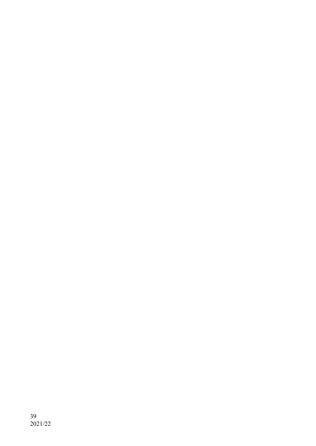39 2021/22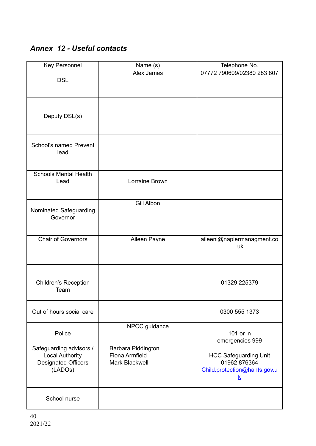<span id="page-39-0"></span>*Annex 12 - Useful contacts*

| <b>Key Personnel</b>                                                                       | Name (s)                                                      | Telephone No.                                                                            |
|--------------------------------------------------------------------------------------------|---------------------------------------------------------------|------------------------------------------------------------------------------------------|
| <b>DSL</b>                                                                                 | Alex James                                                    | 07772 790609/02380 283 807                                                               |
| Deputy DSL(s)                                                                              |                                                               |                                                                                          |
| School's named Prevent<br>lead                                                             |                                                               |                                                                                          |
| <b>Schools Mental Health</b><br>Lead                                                       | Lorraine Brown                                                |                                                                                          |
| Nominated Safeguarding<br>Governor                                                         | <b>Gill Albon</b>                                             |                                                                                          |
| <b>Chair of Governors</b>                                                                  | Aileen Payne                                                  | aileenl@napiermanagment.co<br>.uk                                                        |
| Children's Reception<br>Team                                                               |                                                               | 01329 225379                                                                             |
| Out of hours social care                                                                   |                                                               | 0300 555 1373                                                                            |
| Police                                                                                     | NPCC guidance                                                 | 101 or in<br>emergencies 999                                                             |
| Safeguarding advisors /<br><b>Local Authority</b><br><b>Designated Officers</b><br>(LADOs) | Barbara Piddington<br><b>Fiona Armfield</b><br>Mark Blackwell | <b>HCC Safeguarding Unit</b><br>01962 876364<br>Child.protection@hants.gov.u<br><u>k</u> |
| School nurse                                                                               |                                                               |                                                                                          |